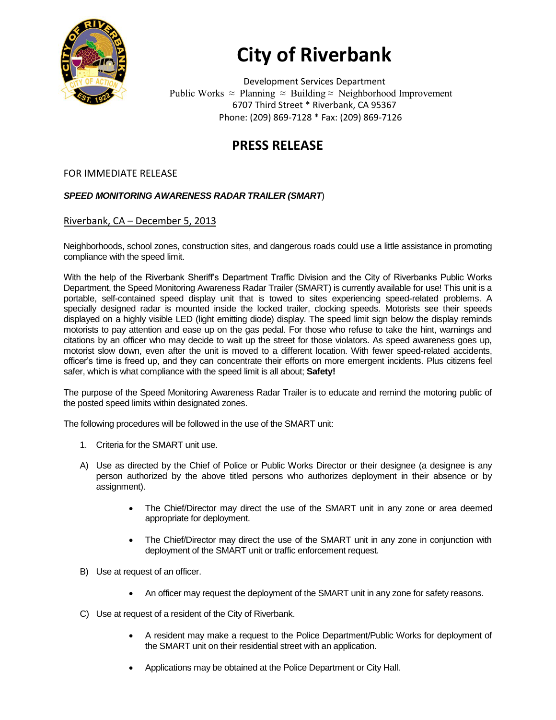

## **City of Riverbank**

Development Services Department Public Works  $\approx$  Planning  $\approx$  Building  $\approx$  Neighborhood Improvement 6707 Third Street \* Riverbank, CA 95367 Phone: (209) 869-7128 \* Fax: (209) 869-7126

## **PRESS RELEASE**

## FOR IMMEDIATE RELEASE

## *SPEED MONITORING AWARENESS RADAR TRAILER (SMART*)

Riverbank, CA – December 5, 2013

Neighborhoods, school zones, construction sites, and dangerous roads could use a little assistance in promoting compliance with the speed limit.

With the help of the Riverbank Sheriff's Department Traffic Division and the City of Riverbanks Public Works Department, the Speed Monitoring Awareness Radar Trailer (SMART) is currently available for use! This unit is a portable, self-contained speed display unit that is towed to sites experiencing speed-related problems. A specially designed radar is mounted inside the locked trailer, clocking speeds. Motorists see their speeds displayed on a highly visible LED (light emitting diode) display. The speed limit sign below the display reminds motorists to pay attention and ease up on the gas pedal. For those who refuse to take the hint, warnings and citations by an officer who may decide to wait up the street for those violators. As speed awareness goes up, motorist slow down, even after the unit is moved to a different location. With fewer speed-related accidents, officer's time is freed up, and they can concentrate their efforts on more emergent incidents. Plus citizens feel safer, which is what compliance with the speed limit is all about; **Safety!** 

The purpose of the Speed Monitoring Awareness Radar Trailer is to educate and remind the motoring public of the posted speed limits within designated zones.

The following procedures will be followed in the use of the SMART unit:

- 1. Criteria for the SMART unit use.
- A) Use as directed by the Chief of Police or Public Works Director or their designee (a designee is any person authorized by the above titled persons who authorizes deployment in their absence or by assignment).
	- The Chief/Director may direct the use of the SMART unit in any zone or area deemed appropriate for deployment.
	- The Chief/Director may direct the use of the SMART unit in any zone in conjunction with deployment of the SMART unit or traffic enforcement request.
- B) Use at request of an officer.
	- An officer may request the deployment of the SMART unit in any zone for safety reasons.
- C) Use at request of a resident of the City of Riverbank.
	- A resident may make a request to the Police Department/Public Works for deployment of the SMART unit on their residential street with an application.
	- Applications may be obtained at the Police Department or City Hall.